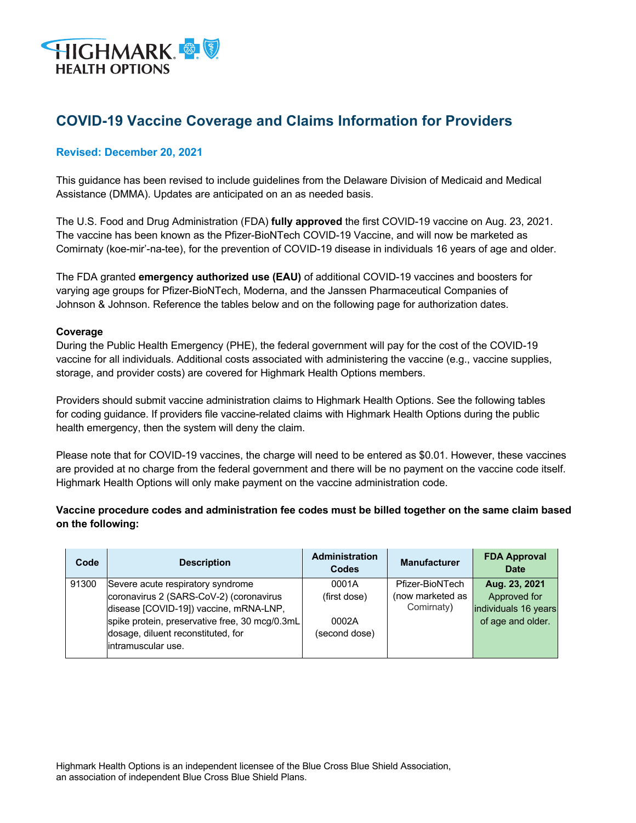

# **COVID-19 Vaccine Coverage and Claims Information for Providers**

# **Revised: December 20, 2021**

This guidance has been revised to include guidelines from the Delaware Division of Medicaid and Medical Assistance (DMMA). Updates are anticipated on an as needed basis.

The U.S. Food and Drug Administration (FDA) **fully approved** the first COVID-19 vaccine on Aug. 23, 2021. The vaccine has been known as the Pfizer-BioNTech COVID-19 Vaccine, and will now be marketed as Comirnaty (koe-mir'-na-tee), for the prevention of COVID-19 disease in individuals 16 years of age and older.

The FDA granted **emergency authorized use (EAU)** of additional COVID-19 vaccines and boosters for varying age groups for Pfizer-BioNTech, Moderna, and the Janssen Pharmaceutical Companies of Johnson & Johnson. Reference the tables below and on the following page for authorization dates.

#### **Coverage**

During the Public Health Emergency (PHE), the federal government will pay for the cost of the COVID-19 vaccine for all individuals. Additional costs associated with administering the vaccine (e.g., vaccine supplies, storage, and provider costs) are covered for Highmark Health Options members.

Providers should submit vaccine administration claims to Highmark Health Options. See the following tables for coding guidance. If providers file vaccine-related claims with Highmark Health Options during the public health emergency, then the system will deny the claim.

Please note that for COVID-19 vaccines, the charge will need to be entered as \$0.01. However, these vaccines are provided at no charge from the federal government and there will be no payment on the vaccine code itself. Highmark Health Options will only make payment on the vaccine administration code.

## **Vaccine procedure codes and administration fee codes must be billed together on the same claim based on the following:**

| Code  | <b>Description</b>                                                                                                                                                                               | <b>Administration</b><br>Codes         | <b>Manufacturer</b>            | <b>FDA Approval</b><br><b>Date</b>                        |
|-------|--------------------------------------------------------------------------------------------------------------------------------------------------------------------------------------------------|----------------------------------------|--------------------------------|-----------------------------------------------------------|
| 91300 | Severe acute respiratory syndrome                                                                                                                                                                | 0001A                                  | Pfizer-BioNTech                | Aug. 23, 2021                                             |
|       | coronavirus 2 (SARS-CoV-2) (coronavirus<br>disease [COVID-19]) vaccine, mRNA-LNP,<br>spike protein, preservative free, 30 mcg/0.3mL<br>dosage, diluent reconstituted, for<br>lintramuscular use. | (first dose)<br>0002A<br>(second dose) | (now marketed as<br>Comirnaty) | Approved for<br>individuals 16 years<br>of age and older. |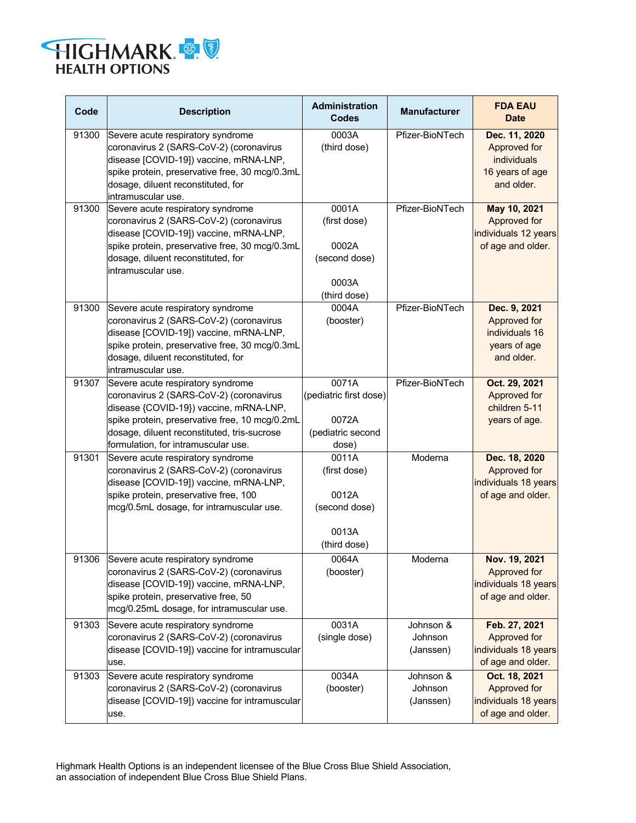

| Code  | <b>Description</b>                                                                                                                                                                                                                                             | Administration<br><b>Codes</b>                                           | <b>Manufacturer</b>               | <b>FDA EAU</b><br><b>Date</b>                                                 |
|-------|----------------------------------------------------------------------------------------------------------------------------------------------------------------------------------------------------------------------------------------------------------------|--------------------------------------------------------------------------|-----------------------------------|-------------------------------------------------------------------------------|
| 91300 | Severe acute respiratory syndrome<br>coronavirus 2 (SARS-CoV-2) (coronavirus<br>disease [COVID-19]) vaccine, mRNA-LNP,<br>spike protein, preservative free, 30 mcg/0.3mL<br>dosage, diluent reconstituted, for<br>intramuscular use.                           | 0003A<br>(third dose)                                                    | Pfizer-BioNTech                   | Dec. 11, 2020<br>Approved for<br>individuals<br>16 years of age<br>and older. |
| 91300 | Severe acute respiratory syndrome<br>coronavirus 2 (SARS-CoV-2) (coronavirus<br>disease [COVID-19]) vaccine, mRNA-LNP,<br>spike protein, preservative free, 30 mcg/0.3mL<br>dosage, diluent reconstituted, for<br>intramuscular use.                           | 0001A<br>(first dose)<br>0002A<br>(second dose)<br>0003A<br>(third dose) | Pfizer-BioNTech                   | May 10, 2021<br>Approved for<br>individuals 12 years<br>of age and older.     |
| 91300 | Severe acute respiratory syndrome<br>coronavirus 2 (SARS-CoV-2) (coronavirus<br>disease [COVID-19]) vaccine, mRNA-LNP,<br>spike protein, preservative free, 30 mcg/0.3mL<br>dosage, diluent reconstituted, for<br>intramuscular use.                           | 0004A<br>(booster)                                                       | Pfizer-BioNTech                   | Dec. 9, 2021<br>Approved for<br>individuals 16<br>years of age<br>and older.  |
| 91307 | Severe acute respiratory syndrome<br>coronavirus 2 (SARS-CoV-2) (coronavirus<br>disease {COVID-19}) vaccine, mRNA-LNP,<br>spike protein, preservative free, 10 mcg/0.2mL<br>dosage, diluent reconstituted, tris-sucrose<br>formulation, for intramuscular use. | 0071A<br>(pediatric first dose)<br>0072A<br>(pediatric second<br>dose)   | Pfizer-BioNTech                   | Oct. 29, 2021<br>Approved for<br>children 5-11<br>years of age.               |
| 91301 | Severe acute respiratory syndrome<br>coronavirus 2 (SARS-CoV-2) (coronavirus<br>disease [COVID-19]) vaccine, mRNA-LNP,<br>spike protein, preservative free, 100<br>mcg/0.5mL dosage, for intramuscular use.                                                    | 0011A<br>(first dose)<br>0012A<br>(second dose)<br>0013A<br>(third dose) | Moderna                           | Dec. 18, 2020<br>Approved for<br>individuals 18 years<br>of age and older.    |
| 91306 | Severe acute respiratory syndrome<br>coronavirus 2 (SARS-CoV-2) (coronavirus<br>disease [COVID-19]) vaccine, mRNA-LNP,<br>spike protein, preservative free, 50<br>mcg/0.25mL dosage, for intramuscular use.                                                    | 0064A<br>(booster)                                                       | Moderna                           | Nov. 19, 2021<br>Approved for<br>individuals 18 years<br>of age and older.    |
| 91303 | Severe acute respiratory syndrome<br>coronavirus 2 (SARS-CoV-2) (coronavirus<br>disease [COVID-19]) vaccine for intramuscular<br>use.                                                                                                                          | 0031A<br>(single dose)                                                   | Johnson &<br>Johnson<br>(Janssen) | Feb. 27, 2021<br>Approved for<br>individuals 18 years<br>of age and older.    |
| 91303 | Severe acute respiratory syndrome<br>coronavirus 2 (SARS-CoV-2) (coronavirus<br>disease [COVID-19]) vaccine for intramuscular<br>use.                                                                                                                          | 0034A<br>(booster)                                                       | Johnson &<br>Johnson<br>(Janssen) | Oct. 18, 2021<br>Approved for<br>individuals 18 years<br>of age and older.    |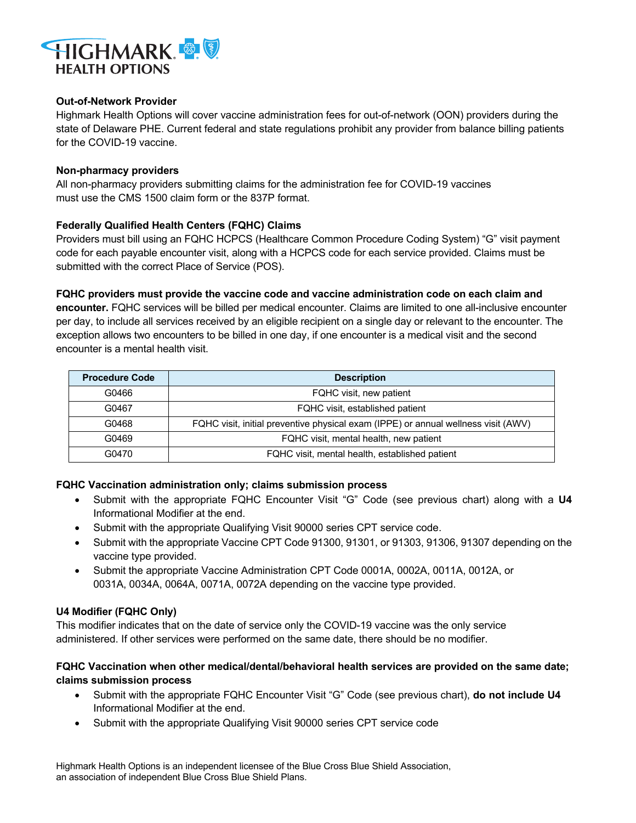

#### **Out-of-Network Provider**

Highmark Health Options will cover vaccine administration fees for out-of-network (OON) providers during the state of Delaware PHE. Current federal and state regulations prohibit any provider from balance billing patients for the COVID-19 vaccine.

#### **Non-pharmacy providers**

All non-pharmacy providers submitting claims for the administration fee for COVID-19 vaccines must use the CMS 1500 claim form or the 837P format.

# **Federally Qualified Health Centers (FQHC) Claims**

Providers must bill using an FQHC HCPCS (Healthcare Common Procedure Coding System) "G" visit payment code for each payable encounter visit, along with a HCPCS code for each service provided. Claims must be submitted with the correct Place of Service (POS).

#### **FQHC providers must provide the vaccine code and vaccine administration code on each claim and**

**encounter.** FQHC services will be billed per medical encounter. Claims are limited to one all-inclusive encounter per day, to include all services received by an eligible recipient on a single day or relevant to the encounter. The exception allows two encounters to be billed in one day, if one encounter is a medical visit and the second encounter is a mental health visit.

| <b>Procedure Code</b> | <b>Description</b>                                                                 |  |
|-----------------------|------------------------------------------------------------------------------------|--|
| G0466                 | FQHC visit, new patient                                                            |  |
| G0467                 | FQHC visit, established patient                                                    |  |
| G0468                 | FQHC visit, initial preventive physical exam (IPPE) or annual wellness visit (AWV) |  |
| G0469                 | FQHC visit, mental health, new patient                                             |  |
| G0470                 | FQHC visit, mental health, established patient                                     |  |

## **FQHC Vaccination administration only; claims submission process**

- Submit with the appropriate FQHC Encounter Visit "G" Code (see previous chart) along with a **U4**  Informational Modifier at the end.
- Submit with the appropriate Qualifying Visit 90000 series CPT service code.
- Submit with the appropriate Vaccine CPT Code 91300, 91301, or 91303, 91306, 91307 depending on the vaccine type provided.
- Submit the appropriate Vaccine Administration CPT Code 0001A, 0002A, 0011A, 0012A, or 0031A, 0034A, 0064A, 0071A, 0072A depending on the vaccine type provided.

## **U4 Modifier (FQHC Only)**

This modifier indicates that on the date of service only the COVID-19 vaccine was the only service administered. If other services were performed on the same date, there should be no modifier.

## **FQHC Vaccination when other medical/dental/behavioral health services are provided on the same date; claims submission process**

- Submit with the appropriate FQHC Encounter Visit "G" Code (see previous chart), **do not include U4**  Informational Modifier at the end.
- Submit with the appropriate Qualifying Visit 90000 series CPT service code

Highmark Health Options is an independent licensee of the Blue Cross Blue Shield Association, an association of independent Blue Cross Blue Shield Plans.